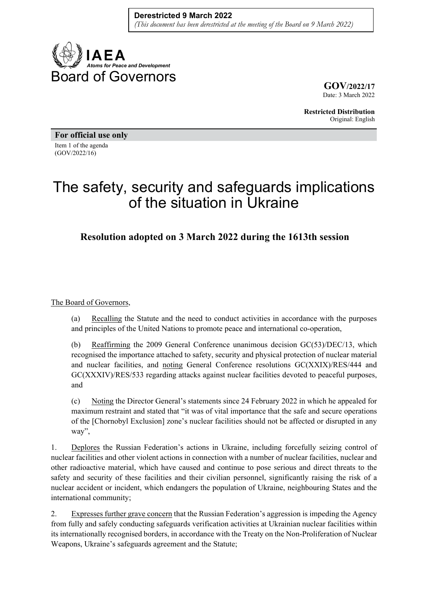

**GOV/2022/17** Date: 3 March 2022

**Restricted Distribution** Original: English

**For official use only**  Item 1 of the agenda (GOV/2022/16)

## The safety, security and safeguards implications of the situation in Ukraine

**Resolution adopted on 3 March 2022 during the 1613th session** 

## The Board of Governors,

(a) Recalling the Statute and the need to conduct activities in accordance with the purposes and principles of the United Nations to promote peace and international co-operation,

(b) Reaffirming the 2009 General Conference unanimous decision GC(53)/DEC/13, which recognised the importance attached to safety, security and physical protection of nuclear material and nuclear facilities, and noting General Conference resolutions GC(XXIX)/RES/444 and GC(XXXIV)/RES/533 regarding attacks against nuclear facilities devoted to peaceful purposes, and

(c) Noting the Director General's statements since 24 February 2022 in which he appealed for maximum restraint and stated that "it was of vital importance that the safe and secure operations of the [Chornobyl Exclusion] zone's nuclear facilities should not be affected or disrupted in any way",

1. Deplores the Russian Federation's actions in Ukraine, including forcefully seizing control of nuclear facilities and other violent actions in connection with a number of nuclear facilities, nuclear and other radioactive material, which have caused and continue to pose serious and direct threats to the safety and security of these facilities and their civilian personnel, significantly raising the risk of a nuclear accident or incident, which endangers the population of Ukraine, neighbouring States and the international community;

2. Expresses further grave concern that the Russian Federation's aggression is impeding the Agency from fully and safely conducting safeguards verification activities at Ukrainian nuclear facilities within its internationally recognised borders, in accordance with the Treaty on the Non-Proliferation of Nuclear Weapons, Ukraine's safeguards agreement and the Statute;